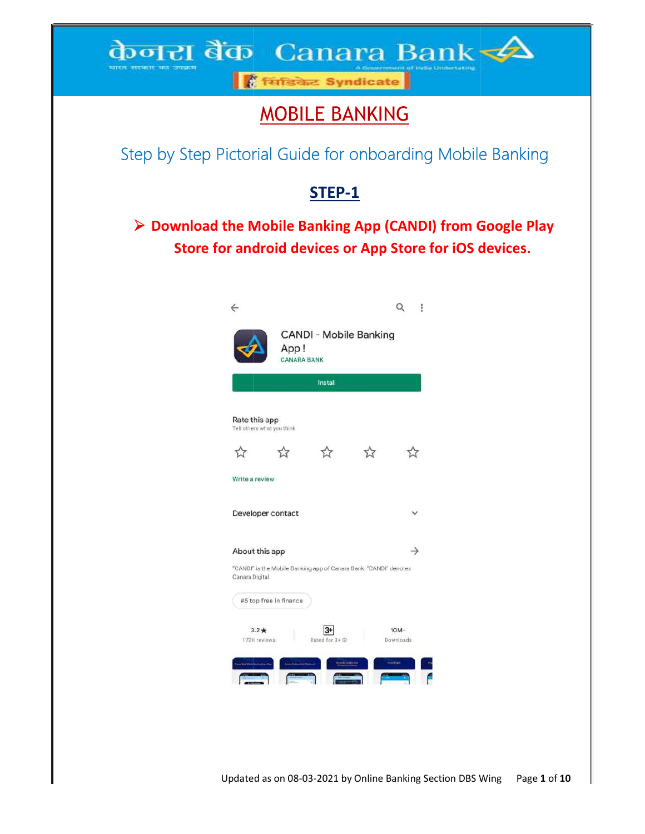## केनरा बैंक Canara Bank भारत साफार का उपक्रम

<mark>।</mark> सिंडिकेट Syndicate

# MOBILE BANKING

Step by Step Pictorial Guide for onboarding Mobile Banking Theory

# STEP-1

> Download the Mobile Banking App (CANDI) from Google Play | wnload the Mobile Banking App (CANDI) from Google Play<br>Store for android devices or App Store for iOS devices.

|                                             | App!<br><b>CANARA BANK</b> | <b>CANDI - Mobile Banking</b>                                     |                     |
|---------------------------------------------|----------------------------|-------------------------------------------------------------------|---------------------|
|                                             |                            | Install                                                           |                     |
| Rate this app<br>Tell others what you think |                            |                                                                   |                     |
| 57                                          |                            | 5.7                                                               | 7.                  |
| Write a review                              |                            |                                                                   |                     |
| Developer contact                           |                            |                                                                   |                     |
| About this app                              |                            |                                                                   |                     |
| Canara Digital                              |                            | "CANDI" is the Mobile Banking app of Canara Bank. "CANDI" denotes |                     |
| #5 top free in finance                      |                            |                                                                   |                     |
| $3.2*$<br>172K reviews                      |                            | 13+<br>Rated for 3+ ©                                             | $10M+$<br>Downloads |
|                                             |                            |                                                                   |                     |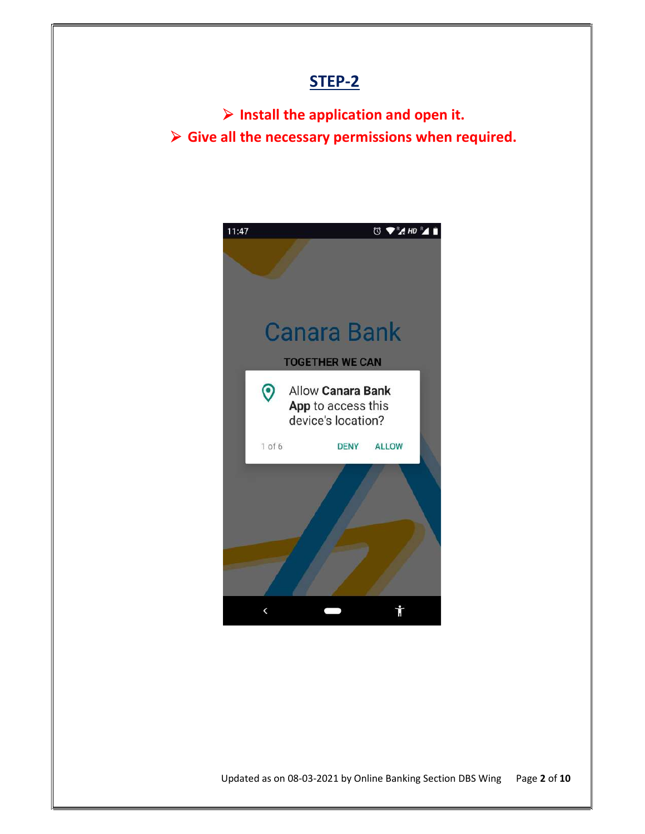$\triangleright$  Install the application and open it.  $\triangleright$  Give all the necessary permissions when required.

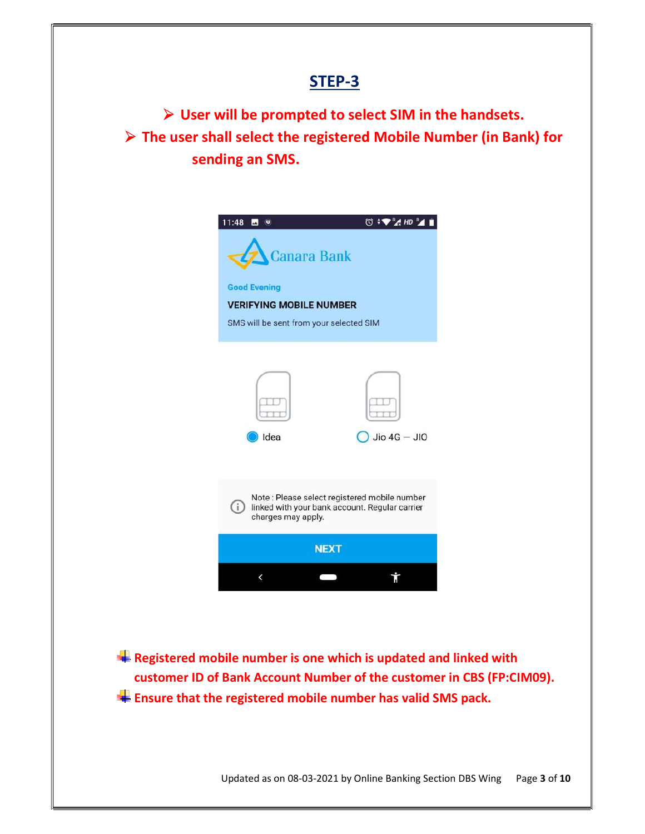User will be prompted to select SIM in the handsets. The user shall select the registered Mobile Number (in Bank) for sending an SMS.



 $\blacksquare$  Registered mobile number is one which is updated and linked with customer ID of Bank Account Number of the customer in CBS (FP:CIM09).  $\blacksquare$  Ensure that the registered mobile number has valid SMS pack.

Updated as on 08-03-2021 by Online Banking Section DBS Wing Page 3 of 10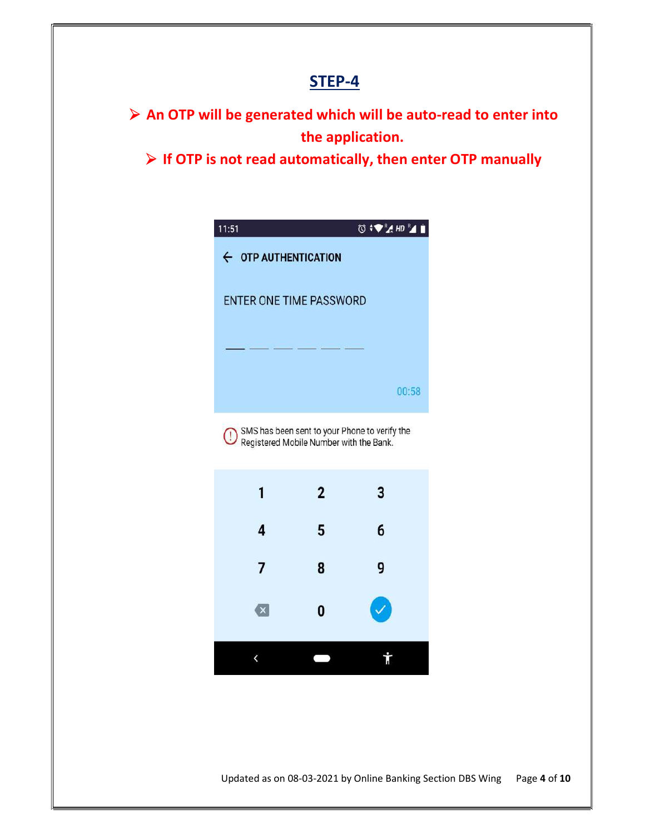$\triangleright$  An OTP will be generated which will be auto-read to enter into the application.

 $\triangleright$  If OTP is not read automatically, then enter OTP manually

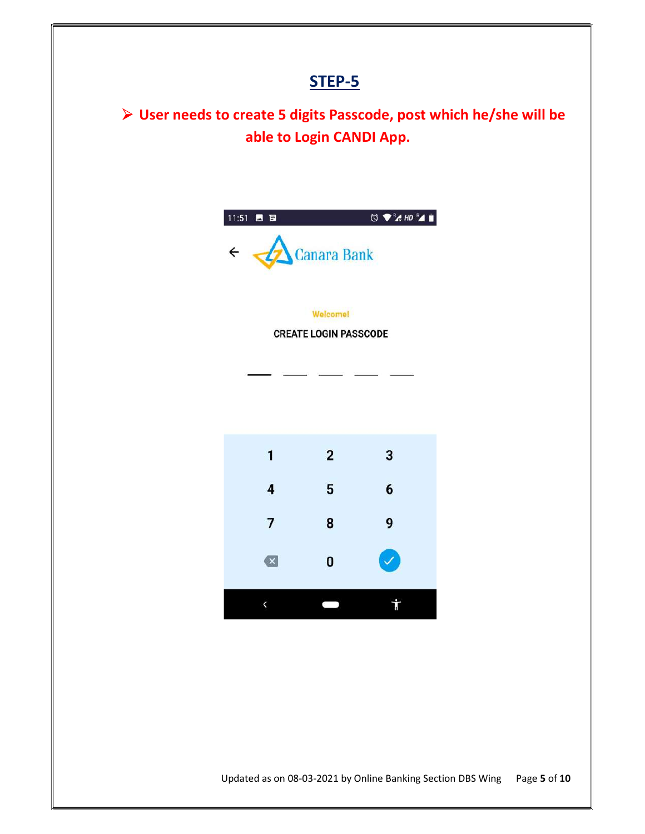User needs to create 5 digits Passcode, post which he/she will be able to Login CANDI App.

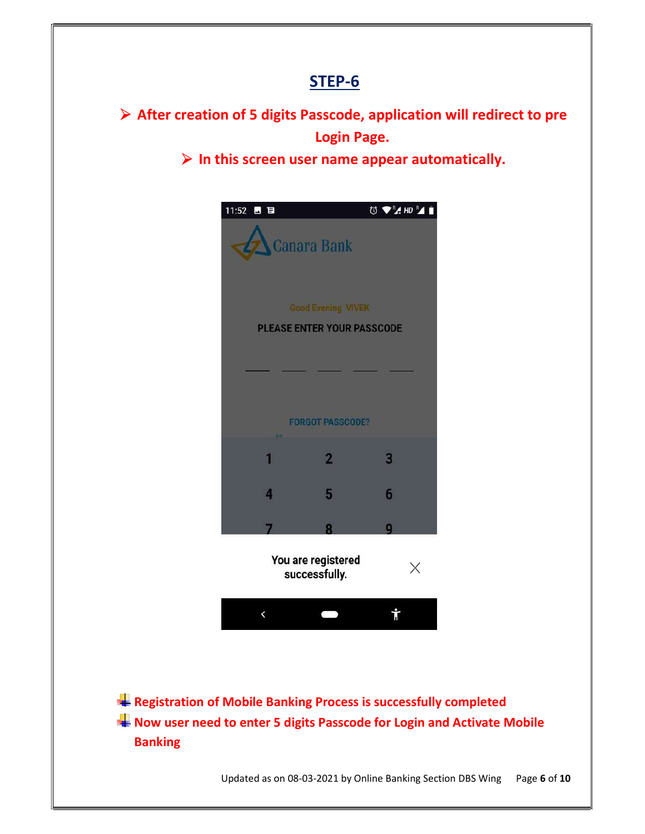$\triangleright$  After creation of 5 digits Passcode, application will redirect to pre Login Page.

 $\triangleright$  In this screen user name appear automatically.



**Registration of Mobile Banking Process is successfully completed** Now user need to enter 5 digits Passcode for Login and Activate Mobile Banking

Updated as on 08-03-2021 by Online Banking Section DBS Wing Page 6 of 10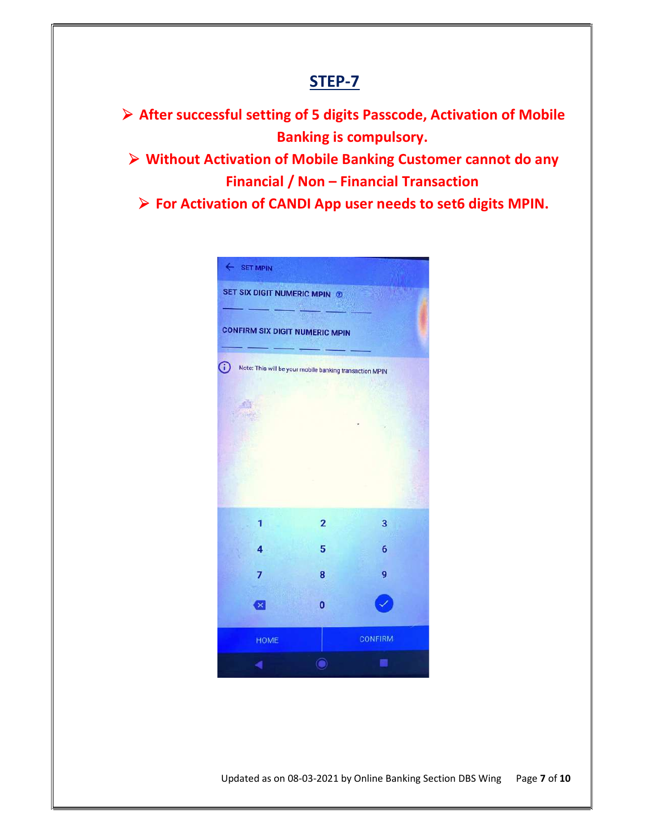After successful setting of 5 digits Passcode, Activation of Mobile Banking is compulsory. Without Activation of Mobile Banking Customer cannot do any Financial / Non – Financial Transaction  $\triangleright$  For Activation of CANDI App user needs to set6 digits MPIN.

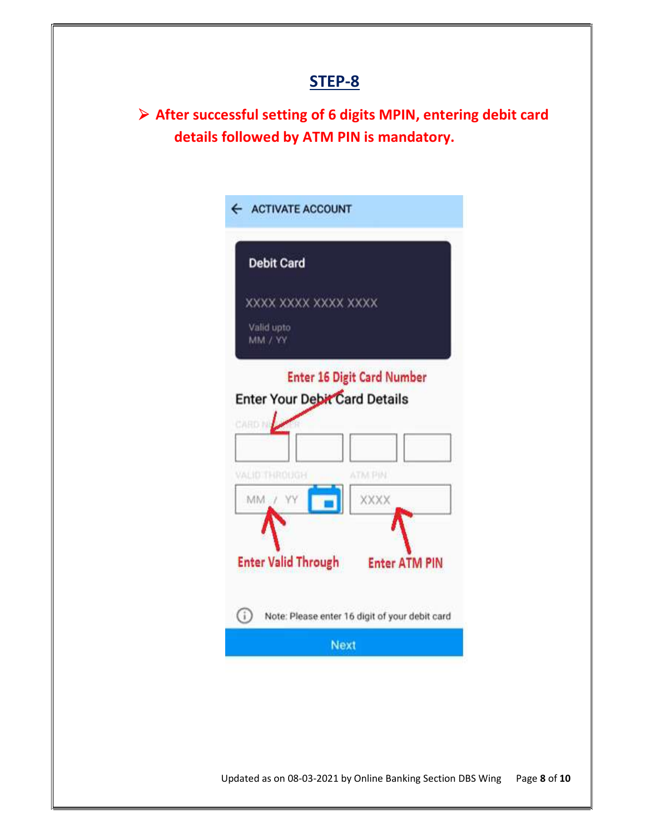After successful setting of 6 digits MPIN, entering debit card details followed by ATM PIN is mandatory.

| <b>Debit Card</b>          |                                                |                        |  |
|----------------------------|------------------------------------------------|------------------------|--|
|                            | XXXX XXXX XXXX XXXX                            |                        |  |
| Valid upto<br>MM / YY      |                                                |                        |  |
|                            | <b>Enter 16 Digit Card Number</b>              |                        |  |
| CARD N                     | Enter Your Debit Card Details                  |                        |  |
| VALID THROUGH<br>MM / YY   |                                                | <b>ATM PIN</b><br>XXXX |  |
| <b>Enter Valid Through</b> |                                                | <b>Enter ATM PIN</b>   |  |
| O                          | Note: Please enter 16 digit of your debit card |                        |  |
|                            | <b>Next</b>                                    |                        |  |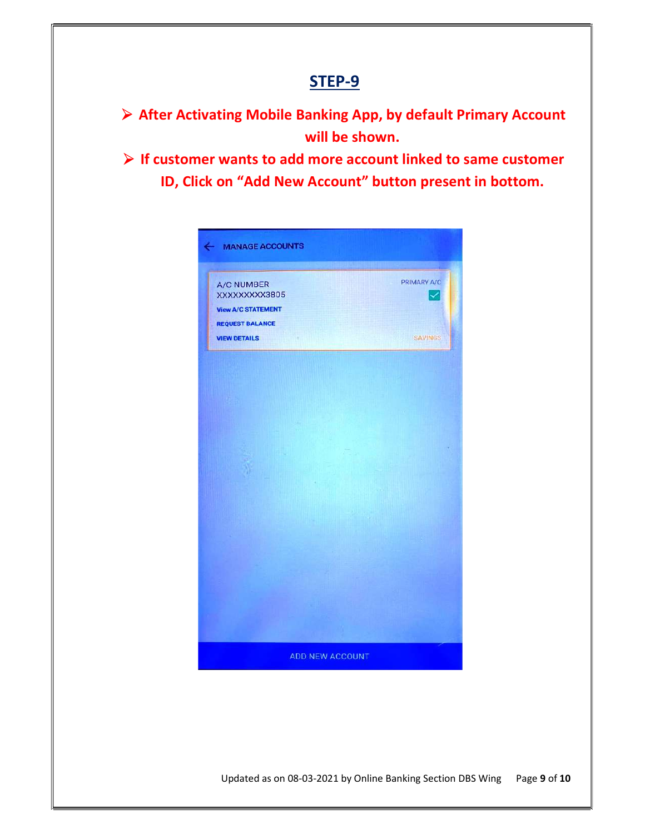After Activating Mobile Banking App, by default Primary Account will be shown.

 $\triangleright$  If customer wants to add more account linked to same customer ID, Click on "Add New Account" button present in bottom.